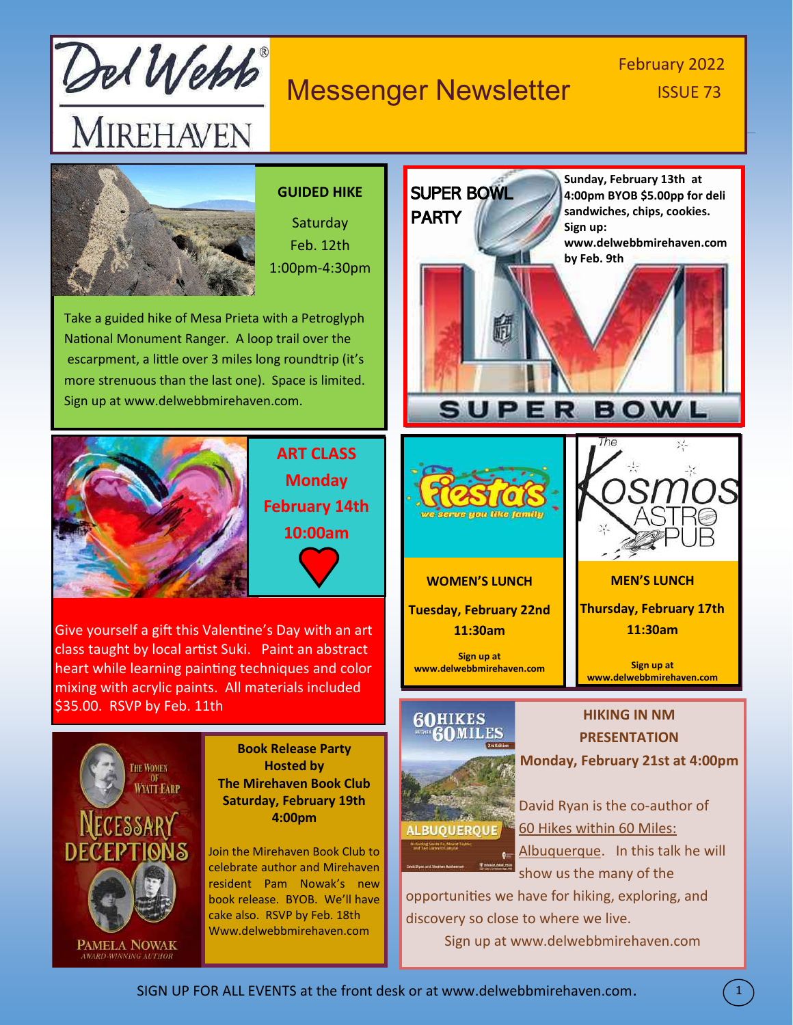

### Messenger Newsletter **ISSUE 73**

# February 2022



### **GUIDED HIKE**

**Saturday** Feb. 12th 1:00pm-4:30pm

Take a guided hike of Mesa Prieta with a Petroglyph National Monument Ranger. A loop trail over the escarpment, a little over 3 miles long roundtrip (it's more strenuous than the last one). Space is limited. Sign up at www.delwebbmirehaven.com.



**ART CLASS Monday February 14th 10:00am**

Give yourself a gift this Valentine's Day with an art class taught by local artist Suki. Paint an abstract heart while learning painting techniques and color mixing with acrylic paints. All materials included \$35.00. RSVP by Feb. 11th



**Book Release Party Hosted by The Mirehaven Book Club Saturday, February 19th 4:00pm**

Join the Mirehaven Book Club to celebrate author and Mirehaven resident Pam Nowak's new book release. BYOB. We'll have cake also. RSVP by Feb. 18th Www.delwebbmirehaven.com

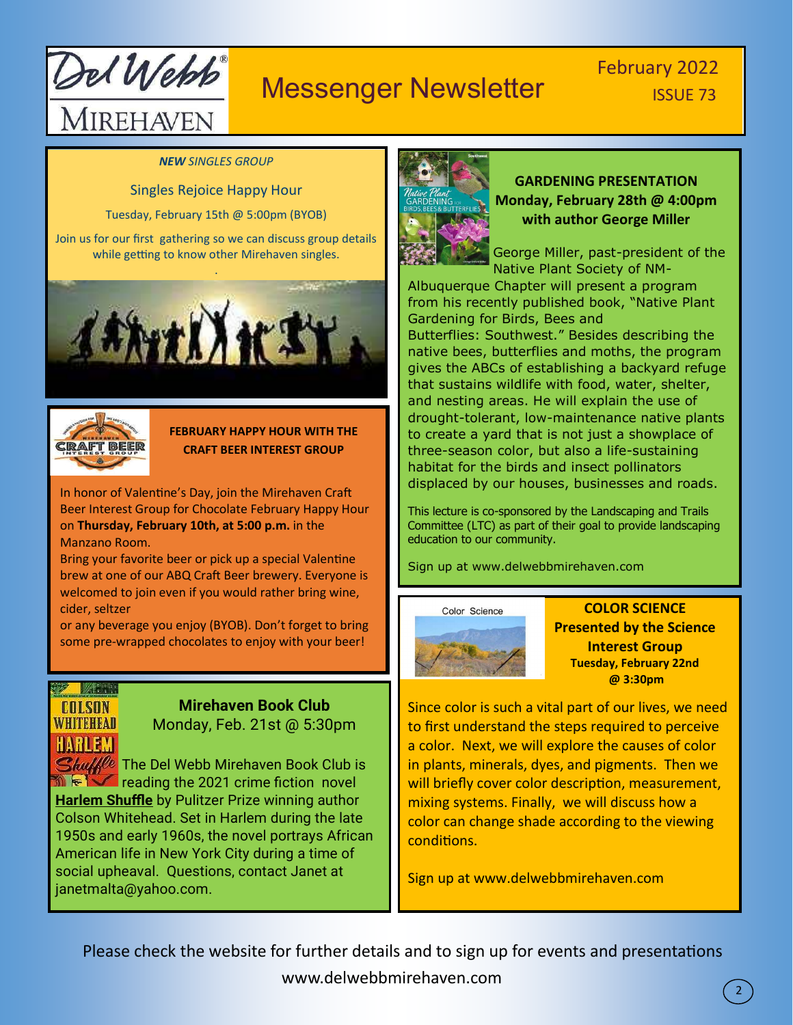

# Messenger Newsletter **ISSUE 73**

#### *NEW SINGLES GROUP*

Singles Rejoice Happy Hour

Tuesday, February 15th @ 5:00pm (BYOB)

Join us for our first gathering so we can discuss group details while getting to know other Mirehaven singles.





### **FEBRUARY HAPPY HOUR WITH THE CRAFT BEER INTEREST GROUP**

In honor of Valentine's Day, join the Mirehaven Craft Beer Interest Group for Chocolate February Happy Hour on **Thursday, February 10th, at 5:00 p.m.** in the Manzano Room.

Bring your favorite beer or pick up a special Valentine brew at one of our ABQ Craft Beer brewery. Everyone is welcomed to join even if you would rather bring wine, cider, seltzer

or any beverage you enjoy (BYOB). Don't forget to bring some pre-wrapped chocolates to enjoy with your beer!

### W Athe **COLSON WHITEHEAD** HARLEM

### **Mirehaven Book Club** Monday, Feb. 21st @ 5:30pm

 $\mathcal{S}_{\textit{hul}}$  The Del Webb Mirehaven Book Club is  $\mathbb{R}$  reading the 2021 crime fiction novel **Harlem Shuffle** by Pulitzer Prize winning author Colson Whitehead. Set in Harlem during the late 1950s and early 1960s, the novel portrays African American life in New York City during a time of social upheaval. Questions, contact Janet at janetmalta@yahoo.com.



### **GARDENING PRESENTATION Monday, February 28th @ 4:00pm with author George Miller**

George Miller, past-president of the Native Plant Society of NM-

Albuquerque Chapter will present a program from his recently published book, "Native Plant Gardening for Birds, Bees and Butterflies: Southwest." Besides describing the native bees, butterflies and moths, the program gives the ABCs of establishing a backyard refuge that sustains wildlife with food, water, shelter, and nesting areas. He will explain the use of drought-tolerant, low-maintenance native plants to create a yard that is not just a showplace of three-season color, but also a life-sustaining habitat for the birds and insect pollinators displaced by our houses, businesses and roads.

This lecture is co-sponsored by the Landscaping and Trails Committee (LTC) as part of their goal to provide landscaping education to our community.

Sign up at www.delwebbmirehaven.com



**COLOR SCIENCE Presented by the Science Interest Group Tuesday, February 22nd @ 3:30pm**

2

Since color is such a vital part of our lives, we need to first understand the steps required to perceive a color. Next, we will explore the causes of color in plants, minerals, dyes, and pigments. Then we will briefly cover color description, measurement, mixing systems. Finally, we will discuss how a color can change shade according to the viewing conditions.

Sign up at www.delwebbmirehaven.com

Please check the website for further details and to sign up for events and presentations www.delwebbmirehaven.com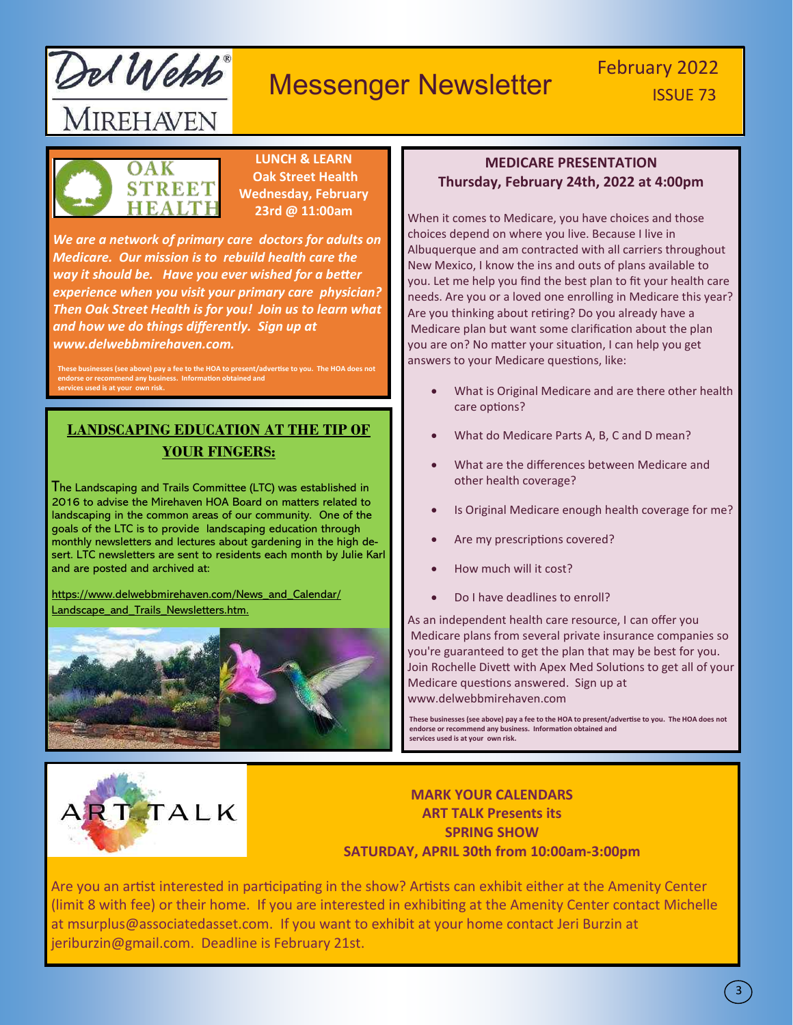

# February 2022<br> **Messenger Newsletter** February 2022



**LUNCH & LEARN Oak Street Health Wednesday, February 23rd @ 11:00am**

*We are a network of primary care doctors for adults on Medicare. Our mission is to rebuild health care the way it should be. Have you ever wished for a better experience when you visit your primary care physician? Then Oak Street Health is for you! Join us to learn what and how we do things differently. Sign up at www.delwebbmirehaven.com.*

**Example 5 as above) pay a fee to the HOA to present/advertise to you. endorse or recommend any business. Information obtained and services used is at your own risk.**

### **LANDSCAPING EDUCATION AT THE TIP OF YOUR FINGERS:**

I he Landscaping and Trails Committee (LTC) was established in 2016 to advise the Mirehaven HOA Board on matters related to landscaping in the common areas of our community. One of the goals of the LTC is to provide landscaping education through monthly newsletters and lectures about gardening in the high desert. LTC newsletters are sent to residents each month by Julie Karl and are posted and archived at:

https://www.delwebbmirehaven.com/News\_and\_Calendar/ Landscape\_and\_Trails\_Newsletters.htm.



### **MEDICARE PRESENTATION Thursday, February 24th, 2022 at 4:00pm**

When it comes to Medicare, you have choices and those choices depend on where you live. Because I live in Albuquerque and am contracted with all carriers throughout New Mexico, I know the ins and outs of plans available to you. Let me help you find the best plan to fit your health care needs. Are you or a loved one enrolling in Medicare this year? Are you thinking about retiring? Do you already have a Medicare plan but want some clarification about the plan you are on? No matter your situation, I can help you get answers to your Medicare questions, like:

- What is Original Medicare and are there other health care options?
- What do Medicare Parts A, B, C and D mean?
- What are the differences between Medicare and other health coverage?
- Is Original Medicare enough health coverage for me?
- Are my prescriptions covered?
- How much will it cost?
- Do I have deadlines to enroll?

As an independent health care resource, I can offer you Medicare plans from several private insurance companies so you're guaranteed to get the plan that may be best for you. Join Rochelle Divett with Apex Med Solutions to get all of your Medicare questions answered. Sign up at www.delwebbmirehaven.com

**These businesses (see above) pay a fee to the HOA to present/advertise to you. The HOA does not endorse or recommend any business. Information obtained and services used is at your own risk.**



**MARK YOUR CALENDARS ART TALK Presents its SPRING SHOW SATURDAY, APRIL 30th from 10:00am-3:00pm**

Are you an artist interested in participating in the show? Artists can exhibit either at the Amenity Center (limit 8 with fee) or their home. If you are interested in exhibiting at the Amenity Center contact Michelle at msurplus@associatedasset.com. If you want to exhibit at your home contact Jeri Burzin at jeriburzin@gmail.com. Deadline is February 21st.

3